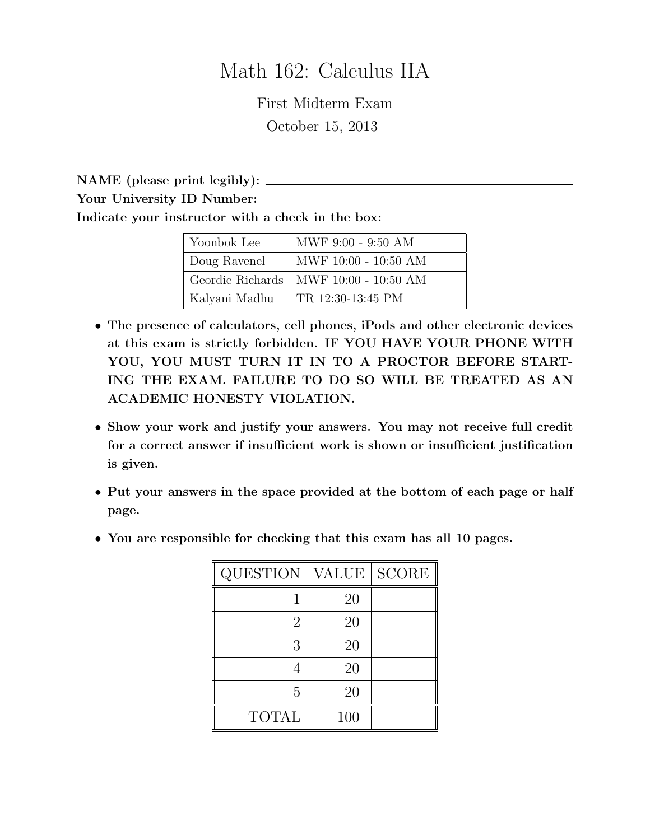# Math 162: Calculus IIA

First Midterm Exam October 15, 2013

NAME (please print legibly): Your University ID Number: Indicate your instructor with a check in the box:

| Yoonbok Lee  | MWF 9:00 - 9:50 AM                      |  |
|--------------|-----------------------------------------|--|
| Doug Ravenel | MWF 10:00 - 10:50 AM                    |  |
|              | Geordie Richards MWF $10:00 - 10:50$ AM |  |
|              | Kalyani Madhu TR 12:30-13:45 PM         |  |

- The presence of calculators, cell phones, iPods and other electronic devices at this exam is strictly forbidden. IF YOU HAVE YOUR PHONE WITH YOU, YOU MUST TURN IT IN TO A PROCTOR BEFORE START-ING THE EXAM. FAILURE TO DO SO WILL BE TREATED AS AN ACADEMIC HONESTY VIOLATION.
- Show your work and justify your answers. You may not receive full credit for a correct answer if insufficient work is shown or insufficient justification is given.
- Put your answers in the space provided at the bottom of each page or half page.
- You are responsible for checking that this exam has all 10 pages.

| <b>QUESTION</b> | <b>VALUE</b> | <b>SCORE</b> |
|-----------------|--------------|--------------|
|                 | 20           |              |
| 2               | 20           |              |
| 3               | 20           |              |
|                 | 20           |              |
| 5               | 20           |              |
| <b>TOTAL</b>    | 100          |              |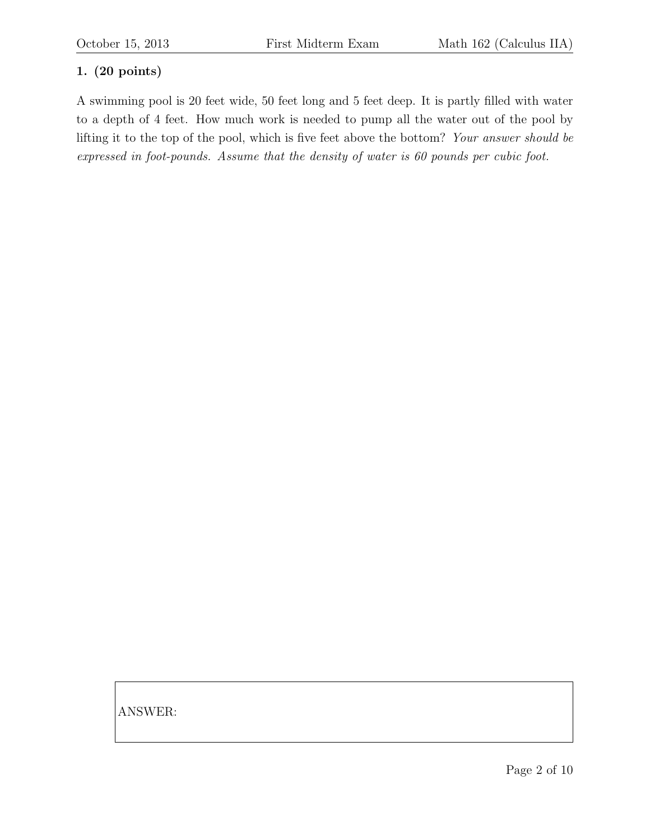A swimming pool is 20 feet wide, 50 feet long and 5 feet deep. It is partly filled with water to a depth of 4 feet. How much work is needed to pump all the water out of the pool by lifting it to the top of the pool, which is five feet above the bottom? Your answer should be expressed in foot-pounds. Assume that the density of water is 60 pounds per cubic foot.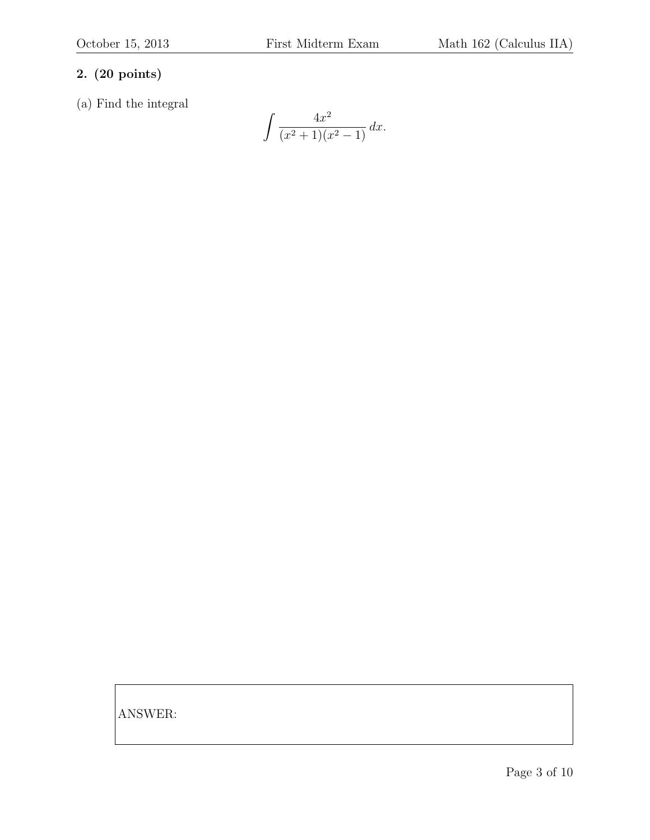(a) Find the integral

$$
\int \frac{4x^2}{(x^2+1)(x^2-1)} \, dx.
$$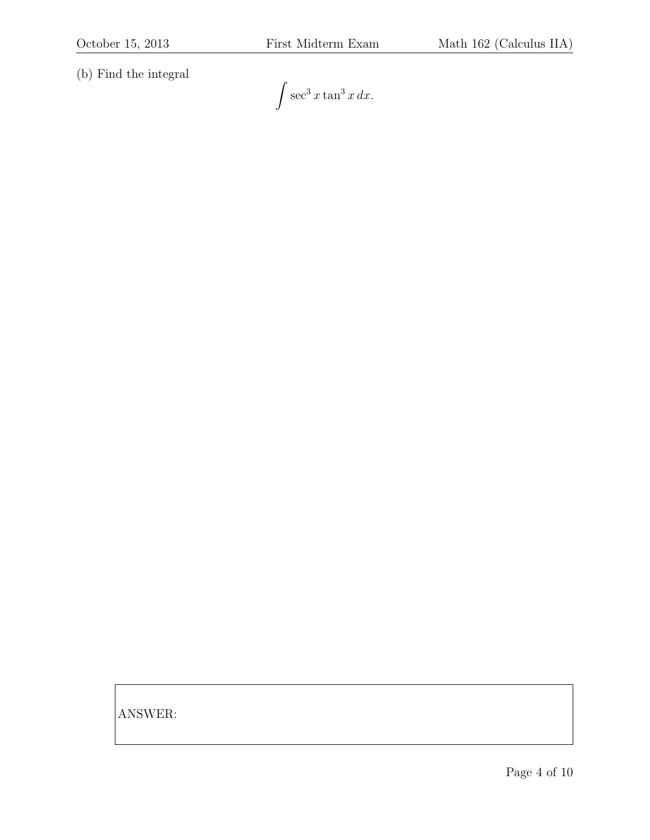(b) Find the integral

 $\int \sec^3 x \tan^3 x \, dx.$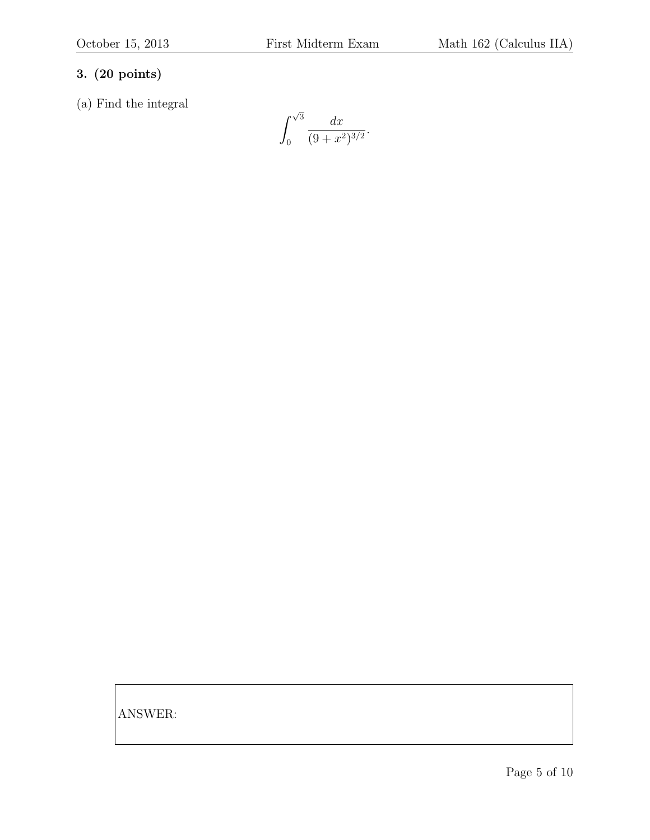(a) Find the integral

 $\int \sqrt{3}$ 0  $dx$  $\frac{ax}{(9+x^2)^{3/2}}.$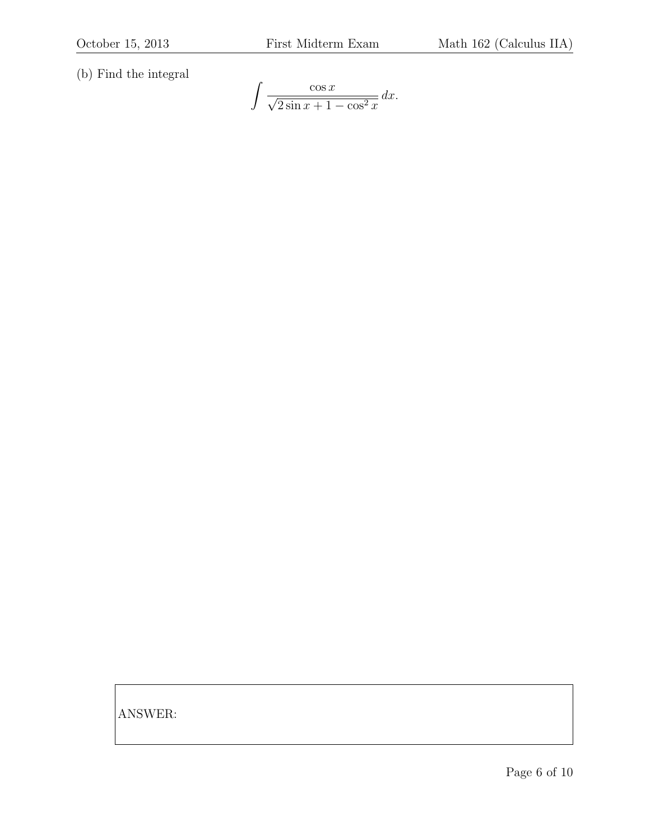(b) Find the integral

$$
\int \frac{\cos x}{\sqrt{2 \sin x + 1 - \cos^2 x}} dx.
$$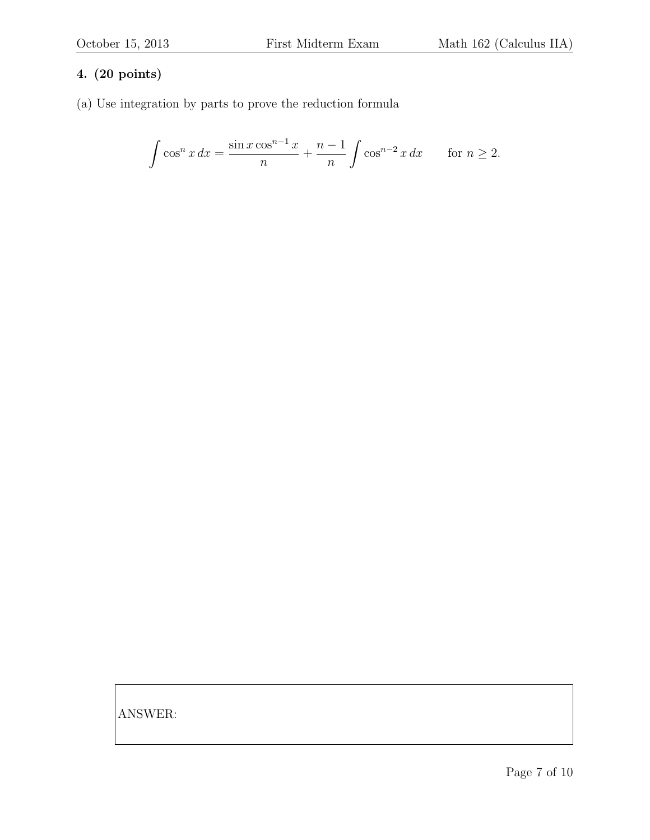(a) Use integration by parts to prove the reduction formula

$$
\int \cos^n x \, dx = \frac{\sin x \cos^{n-1} x}{n} + \frac{n-1}{n} \int \cos^{n-2} x \, dx \quad \text{for } n \ge 2.
$$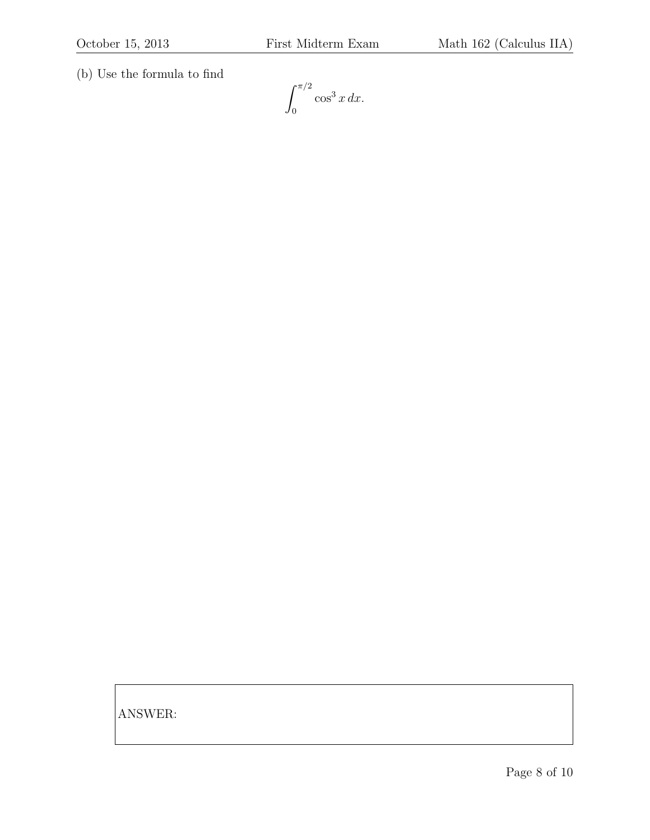(b) Use the formula to find

 $\int_0^{\pi/2}$ 0  $\cos^3 x \, dx$ .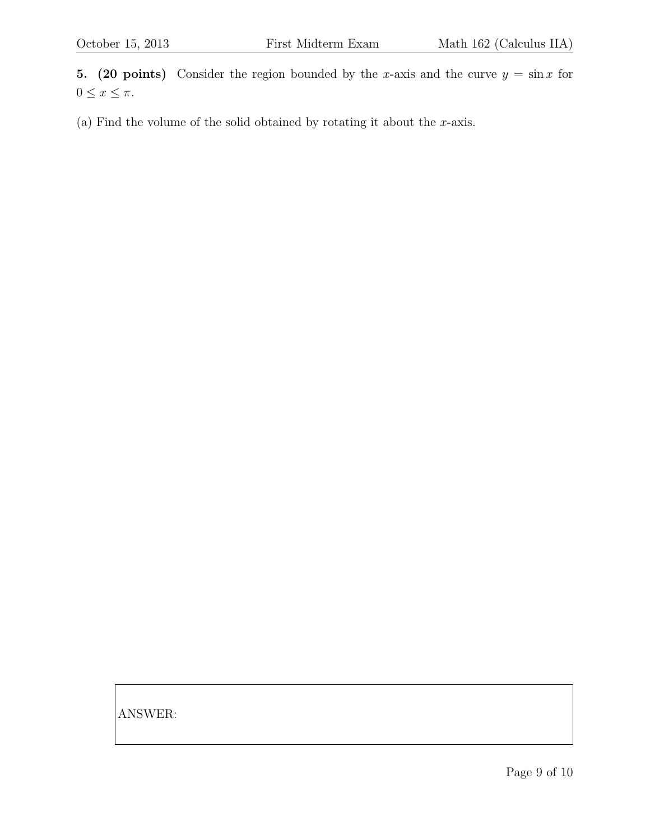5. (20 points) Consider the region bounded by the x-axis and the curve  $y = \sin x$  for  $0 \leq x \leq \pi$ .

(a) Find the volume of the solid obtained by rotating it about the  $x$ -axis.